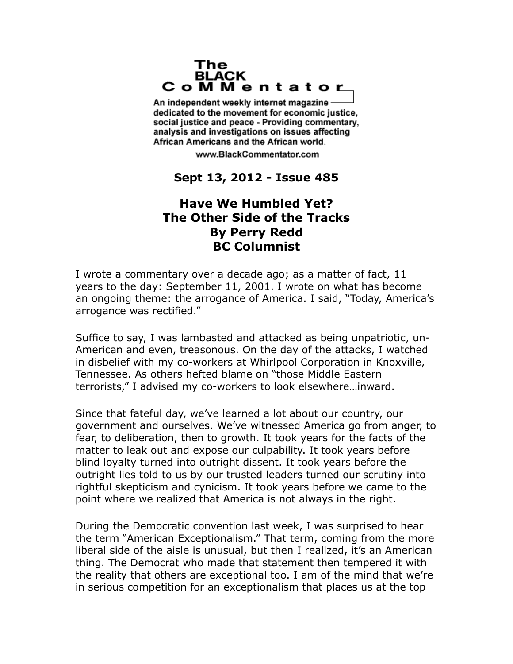## The **BLACK** CoMMentator

An independent weekly internet magazine dedicated to the movement for economic justice. social justice and peace - Providing commentary, analysis and investigations on issues affecting African Americans and the African world.

www.BlackCommentator.com

## **Sept 13, 2012 - Issue 485**

## **Have We Humbled Yet? The Other Side of the Tracks By Perry Redd BC Columnist**

I wrote a commentary over a decade ago; as a matter of fact, 11 years to the day: September 11, 2001. I wrote on what has become an ongoing theme: the arrogance of America. I said, "Today, America's arrogance was rectified."

Suffice to say, I was lambasted and attacked as being unpatriotic, un-American and even, treasonous. On the day of the attacks, I watched in disbelief with my co-workers at Whirlpool Corporation in Knoxville, Tennessee. As others hefted blame on "those Middle Eastern terrorists," I advised my co-workers to look elsewhere…inward.

Since that fateful day, we've learned a lot about our country, our government and ourselves. We've witnessed America go from anger, to fear, to deliberation, then to growth. It took years for the facts of the matter to leak out and expose our culpability. It took years before blind loyalty turned into outright dissent. It took years before the outright lies told to us by our trusted leaders turned our scrutiny into rightful skepticism and cynicism. It took years before we came to the point where we realized that America is not always in the right.

During the Democratic convention last week, I was surprised to hear the term "American Exceptionalism." That term, coming from the more liberal side of the aisle is unusual, but then I realized, it's an American thing. The Democrat who made that statement then tempered it with the reality that others are exceptional too. I am of the mind that we're in serious competition for an exceptionalism that places us at the top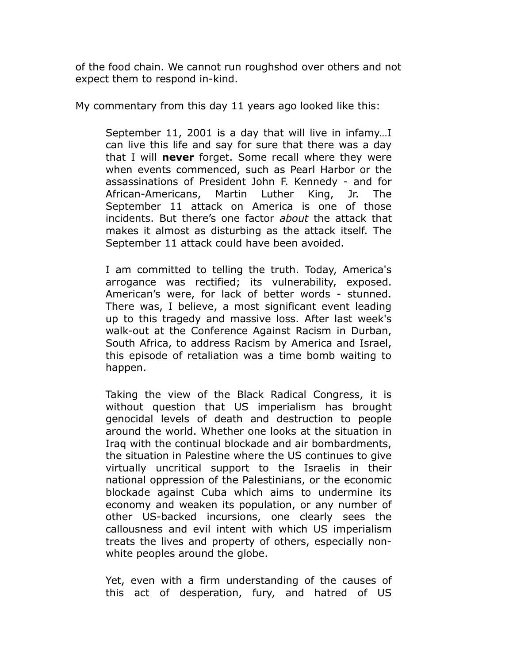of the food chain. We cannot run roughshod over others and not expect them to respond in-kind.

My commentary from this day 11 years ago looked like this:

September 11, 2001 is a day that will live in infamy…I can live this life and say for sure that there was a day that I will **never** forget. Some recall where they were when events commenced, such as Pearl Harbor or the assassinations of President John F. Kennedy - and for African-Americans, Martin Luther King, Jr. The September 11 attack on America is one of those incidents. But there's one factor *about* the attack that makes it almost as disturbing as the attack itself. The September 11 attack could have been avoided.

I am committed to telling the truth. Today, America's arrogance was rectified; its vulnerability, exposed. American's were, for lack of better words - stunned. There was, I believe, a most significant event leading up to this tragedy and massive loss. After last week's walk-out at the Conference Against Racism in Durban, South Africa, to address Racism by America and Israel, this episode of retaliation was a time bomb waiting to happen.

Taking the view of the Black Radical Congress, it is without question that US imperialism has brought genocidal levels of death and destruction to people around the world. Whether one looks at the situation in Iraq with the continual blockade and air bombardments, the situation in Palestine where the US continues to give virtually uncritical support to the Israelis in their national oppression of the Palestinians, or the economic blockade against Cuba which aims to undermine its economy and weaken its population, or any number of other US-backed incursions, one clearly sees the callousness and evil intent with which US imperialism treats the lives and property of others, especially nonwhite peoples around the globe.

Yet, even with a firm understanding of the causes of this act of desperation, fury, and hatred of US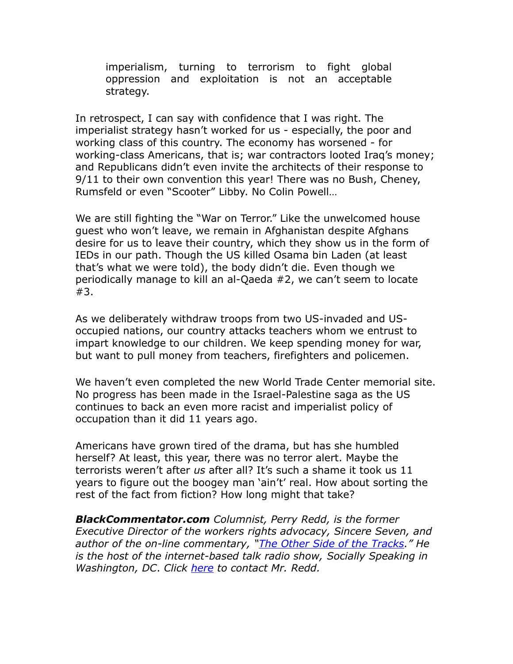imperialism, turning to terrorism to fight global oppression and exploitation is not an acceptable strategy.

In retrospect, I can say with confidence that I was right. The imperialist strategy hasn't worked for us - especially, the poor and working class of this country. The economy has worsened - for working-class Americans, that is; war contractors looted Iraq's money; and Republicans didn't even invite the architects of their response to 9/11 to their own convention this year! There was no Bush, Cheney, Rumsfeld or even "Scooter" Libby. No Colin Powell…

We are still fighting the "War on Terror." Like the unwelcomed house guest who won't leave, we remain in Afghanistan despite Afghans desire for us to leave their country, which they show us in the form of IEDs in our path. Though the US killed Osama bin Laden (at least that's what we were told), the body didn't die. Even though we periodically manage to kill an al-Qaeda #2, we can't seem to locate #3.

As we deliberately withdraw troops from two US-invaded and USoccupied nations, our country attacks teachers whom we entrust to impart knowledge to our children. We keep spending money for war, but want to pull money from teachers, firefighters and policemen.

We haven't even completed the new World Trade Center memorial site. No progress has been made in the Israel-Palestine saga as the US continues to back an even more racist and imperialist policy of occupation than it did 11 years ago.

Americans have grown tired of the drama, but has she humbled herself? At least, this year, there was no terror alert. Maybe the terrorists weren't after *us* after all? It's such a shame it took us 11 years to figure out the boogey man 'ain't' real. How about sorting the rest of the fact from fiction? How long might that take?

*BlackCommentator.com Columnist, Perry Redd, is the former Executive Director of the workers rights advocacy, Sincere Seven, and author of the on-line commentary, ["The Other Side of the Tracks.](http://socialspeaks.wordpress.com/)" He is the host of the internet-based talk radio show, Socially Speaking in Washington, DC*. *Click [here](http://www.blackcommentator.com/contact_forms/redd/contact.php) to contact Mr. Redd.*